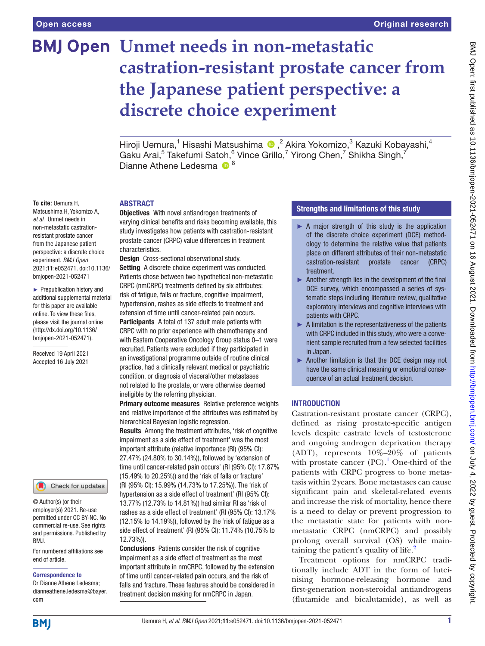**To cite:** Uemura H, Matsushima H, Yokomizo A, *et al*. Unmet needs in non-metastatic castrationresistant prostate cancer from the Japanese patient perspective: a discrete choice experiment. *BMJ Open* 2021;11:e052471. doi:10.1136/ bmjopen-2021-052471 ► Prepublication history and additional supplemental material for this paper are available online. To view these files, please visit the journal online [\(http://dx.doi.org/10.1136/](http://dx.doi.org/10.1136/bmjopen-2021-052471) [bmjopen-2021-052471](http://dx.doi.org/10.1136/bmjopen-2021-052471)). Received 19 April 2021 Accepted 16 July 2021

# **BMJ Open Unmet needs in non-metastatic castration-resistant prostate cancer from the Japanese patient perspective: a discrete choice experiment**

Hiroji Uemura,<sup>1</sup> Hisashi Matsushima (D,<sup>2</sup> Akira Yokomizo,<sup>3</sup> Kazuki Kobayashi,<sup>4</sup> Gaku Arai,<sup>5</sup> Takefumi Satoh,<sup>6</sup> Vince Grillo,<sup>7</sup> Yirong Chen,<sup>7</sup> Shikha Singh,<sup>7</sup> Dianne Athene Ledesma  $\bullet^8$ 

## ABSTRACT

**Objectives** With novel antiandrogen treatments of varying clinical benefits and risks becoming available, this study investigates how patients with castration-resistant prostate cancer (CRPC) value differences in treatment characteristics.

**Design** Cross-sectional observational study. Setting A discrete choice experiment was conducted. Patients chose between two hypothetical non-metastatic CRPC (nmCRPC) treatments defined by six attributes: risk of fatigue, falls or fracture, cognitive impairment, hypertension, rashes as side effects to treatment and extension of time until cancer-related pain occurs. Participants A total of 137 adult male patients with CRPC with no prior experience with chemotherapy and with Eastern Cooperative Oncology Group status 0–1 were recruited. Patients were excluded if they participated in an investigational programme outside of routine clinical practice, had a clinically relevant medical or psychiatric condition, or diagnosis of visceral/other metastases not related to the prostate, or were otherwise deemed ineligible by the referring physician.

Primary outcome measures Relative preference weights and relative importance of the attributes was estimated by hierarchical Bayesian logistic regression. Results Among the treatment attributes, 'risk of cognitive impairment as a side effect of treatment' was the most important attribute (relative importance (RI) (95% CI): 27.47% (24.80% to 30.14%)), followed by 'extension of time until cancer-related pain occurs' (RI (95% CI): 17.87% (15.49% to 20.25%)) and the 'risk of falls or fracture' (RI (95% CI): 15.99% (14.73% to 17.25%)). The 'risk of hypertension as a side effect of treatment' (RI (95% CI): 13.77% (12.73% to 14.81%)) had similar RI as 'risk of rashes as a side effect of treatment' (RI (95% CI): 13.17% (12.15% to 14.19%)), followed by the 'risk of fatigue as a side effect of treatment' (RI (95% CI): 11.74% (10.75% to 12.73%)).

Conclusions Patients consider the risk of cognitive impairment as a side effect of treatment as the most important attribute in nmCRPC, followed by the extension of time until cancer-related pain occurs, and the risk of falls and fracture. These features should be considered in treatment decision making for nmCRPC in Japan.

## Strengths and limitations of this study

- $\blacktriangleright$  A major strength of this study is the application of the discrete choice experiment (DCE) methodology to determine the relative value that patients place on different attributes of their non-metastatic castration-resistant prostate cancer (CRPC) treatment.
- $\blacktriangleright$  Another strength lies in the development of the final DCE survey, which encompassed a series of systematic steps including literature review, qualitative exploratory interviews and cognitive interviews with patients with CRPC.
- ► A limitation is the representativeness of the patients with CRPC included in this study, who were a convenient sample recruited from a few selected facilities in Japan.
- ► Another limitation is that the DCE design may not have the same clinical meaning or emotional consequence of an actual treatment decision.

# **INTRODUCTION**

Castration-resistant prostate cancer (CRPC), defined as rising prostate-specific antigen levels despite castrate levels of testosterone and ongoing androgen deprivation therapy (ADT), represents 10%–20% of patients with prostate cancer  $(PC).$ <sup>[1](#page-8-0)</sup> One-third of the patients with CRPC progress to bone metastasis within 2years. Bone metastases can cause significant pain and skeletal-related events and increase the risk of mortality, hence there is a need to delay or prevent progression to the metastatic state for patients with nonmetastatic CRPC (nmCRPC) and possibly prolong overall survival (OS) while maintaining the patient's quality of life. $<sup>2</sup>$  $<sup>2</sup>$  $<sup>2</sup>$ </sup>

Treatment options for nmCRPC traditionally include ADT in the form of luteinising hormone-releasing hormone and first-generation non-steroidal antiandrogens (flutamide and bicalutamide), as well as

**BMI** 

com

BMJ.

end of article.

Correspondence to Dr Dianne Athene Ledesma; dianneathene.ledesma@bayer.

© Author(s) (or their employer(s)) 2021. Re-use permitted under CC BY-NC. No commercial re-use. See rights and permissions. Published by

For numbered affiliations see

Check for updates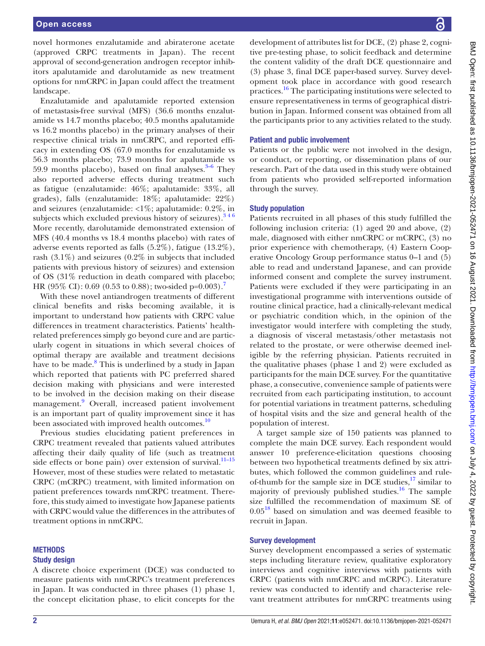novel hormones enzalutamide and abiraterone acetate (approved CRPC treatments in Japan). The recent approval of second-generation androgen receptor inhibitors apalutamide and darolutamide as new treatment options for nmCRPC in Japan could affect the treatment landscape.

Enzalutamide and apalutamide reported extension of metastasis-free survival (MFS) (36.6 months enzalutamide vs 14.7 months placebo; 40.5 months apalutamide vs 16.2 months placebo) in the primary analyses of their respective clinical trials in nmCRPC, and reported efficacy in extending OS (67.0 months for enzalutamide vs 56.3 months placebo; 73.9 months for apalutamide vs 59.9 months placebo), based on final analyses. $3-6$  They also reported adverse effects during treatment such as fatigue (enzalutamide: 46%; apalutamide: 33%, all grades), falls (enzalutamide: 18%; apalutamide: 22%) and seizures (enzalutamide:  $\langle 1\% \rangle$ ; apalutamide: 0.2%, in subjects which excluded previous history of seizures). $346$ More recently, darolutamide demonstrated extension of MFS (40.4 months vs 18.4 months placebo) with rates of adverse events reported as falls (5.2%), fatigue (13.2%), rash (3.1%) and seizures (0.2% in subjects that included patients with previous history of seizures) and extension of OS (31% reduction in death compared with placebo; HR (95% CI): 0.69 (0.53 to 0.88); two-sided p=0.003).<sup>7</sup>

With these novel antiandrogen treatments of different clinical benefits and risks becoming available, it is important to understand how patients with CRPC value differences in treatment characteristics. Patients' healthrelated preferences simply go beyond cure and are particularly cogent in situations in which several choices of optimal therapy are available and treatment decisions have to be made.<sup>[8](#page-8-4)</sup> This is underlined by a study in Japan which reported that patients with PC preferred shared decision making with physicians and were interested to be involved in the decision making on their disease management.<sup>[9](#page-8-5)</sup> Overall, increased patient involvement is an important part of quality improvement since it has been associated with improved health outcomes.<sup>[10](#page-8-6)</sup>

Previous studies elucidating patient preferences in CRPC treatment revealed that patients valued attributes affecting their daily quality of life (such as treatment side effects or bone pain) over extension of survival. $11-15$ However, most of these studies were related to metastatic CRPC (mCRPC) treatment, with limited information on patient preferences towards nmCRPC treatment. Therefore, this study aimed to investigate how Japanese patients with CRPC would value the differences in the attributes of treatment options in nmCRPC.

# **METHODS**

## Study design

A discrete choice experiment (DCE) was conducted to measure patients with nmCRPC's treatment preferences in Japan. It was conducted in three phases (1) phase 1, the concept elicitation phase, to elicit concepts for the

development of attributes list for DCE, (2) phase 2, cognitive pre-testing phase, to solicit feedback and determine the content validity of the draft DCE questionnaire and (3) phase 3, final DCE paper-based survey. Survey development took place in accordance with good research practices.[16](#page-8-8) The participating institutions were selected to ensure representativeness in terms of geographical distribution in Japan. Informed consent was obtained from all the participants prior to any activities related to the study.

# Patient and public involvement

Patients or the public were not involved in the design, or conduct, or reporting, or dissemination plans of our research. Part of the data used in this study were obtained from patients who provided self-reported information through the survey.

## Study population

Patients recruited in all phases of this study fulfilled the following inclusion criteria: (1) aged 20 and above, (2) male, diagnosed with either nmCRPC or mCRPC, (3) no prior experience with chemotherapy, (4) Eastern Cooperative Oncology Group performance status 0–1 and (5) able to read and understand Japanese, and can provide informed consent and complete the survey instrument. Patients were excluded if they were participating in an investigational programme with interventions outside of routine clinical practice, had a clinically-relevant medical or psychiatric condition which, in the opinion of the investigator would interfere with completing the study, a diagnosis of visceral metastasis/other metastasis not related to the prostate, or were otherwise deemed ineligible by the referring physician. Patients recruited in the qualitative phases (phase 1 and 2) were excluded as participants for the main DCE survey. For the quantitative phase, a consecutive, convenience sample of patients were recruited from each participating institution, to account for potential variations in treatment patterns, scheduling of hospital visits and the size and general health of the population of interest.

A target sample size of 150 patients was planned to complete the main DCE survey. Each respondent would answer 10 preference-elicitation questions choosing between two hypothetical treatments defined by six attributes, which followed the common guidelines and ruleof-thumb for the sample size in DCE studies, $17$  similar to majority of previously published studies.<sup>16</sup> The sample size fulfilled the recommendation of maximum SE of  $0.05<sup>18</sup>$  based on simulation and was deemed feasible to recruit in Japan.

# Survey development

Survey development encompassed a series of systematic steps including literature review, qualitative exploratory interviews and cognitive interviews with patients with CRPC (patients with nmCRPC and mCRPC). Literature review was conducted to identify and characterise relevant treatment attributes for nmCRPC treatments using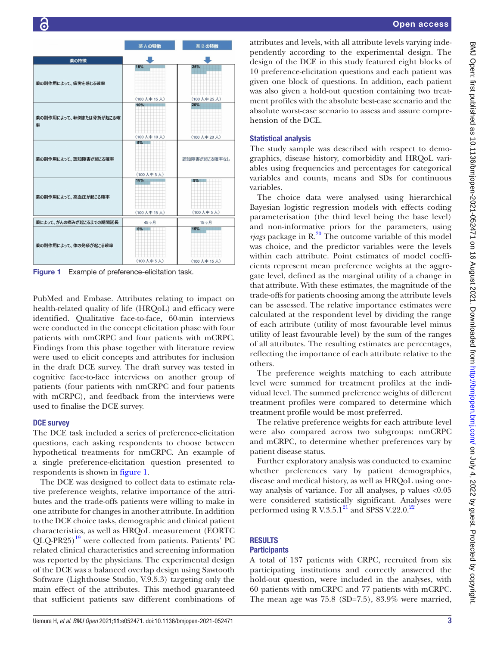

<span id="page-2-0"></span>Figure 1 Example of preference-elicitation task.

PubMed and Embase. Attributes relating to impact on health-related quality of life (HRQoL) and efficacy were identified. Qualitative face-to-face, 60-min interviews were conducted in the concept elicitation phase with four patients with nmCRPC and four patients with mCRPC. Findings from this phase together with literature review were used to elicit concepts and attributes for inclusion in the draft DCE survey. The draft survey was tested in cognitive face-to-face interviews on another group of patients (four patients with nmCRPC and four patients with mCRPC), and feedback from the interviews were used to finalise the DCE survey.

# DCE survey

The DCE task included a series of preference-elicitation questions, each asking respondents to choose between hypothetical treatments for nmCRPC. An example of a single preference-elicitation question presented to respondents is shown in [figure](#page-2-0) 1.

The DCE was designed to collect data to estimate relative preference weights, relative importance of the attributes and the trade-offs patients were willing to make in one attribute for changes in another attribute. In addition to the DCE choice tasks, demographic and clinical patient characteristics, as well as HRQoL measurement (EORTC QLQ-PR25[\)19](#page-8-11) were collected from patients. Patients' PC related clinical characteristics and screening information was reported by the physicians. The experimental design of the DCE was a balanced overlap design using Sawtooth Software (Lighthouse Studio, V.9.5.3) targeting only the main effect of the attributes. This method guaranteed that sufficient patients saw different combinations of

attributes and levels, with all attribute levels varying independently according to the experimental design. The design of the DCE in this study featured eight blocks of 10 preference-elicitation questions and each patient was given one block of questions. In addition, each patient was also given a hold-out question containing two treatment profiles with the absolute best-case scenario and the absolute worst-case scenario to assess and assure comprehension of the DCE.

## Statistical analysis

The study sample was described with respect to demographics, disease history, comorbidity and HRQoL variables using frequencies and percentages for categorical variables and counts, means and SDs for continuous variables.

The choice data were analysed using hierarchical Bayesian logistic regression models with effects coding parameterisation (the third level being the base level) and non-informative priors for the parameters, using *rjags* package in R.[20](#page-8-12) The outcome variable of this model was choice, and the predictor variables were the levels within each attribute. Point estimates of model coefficients represent mean preference weights at the aggregate level, defined as the marginal utility of a change in that attribute. With these estimates, the magnitude of the trade-offs for patients choosing among the attribute levels can be assessed. The relative importance estimates were calculated at the respondent level by dividing the range of each attribute (utility of most favourable level minus utility of least favourable level) by the sum of the ranges of all attributes. The resulting estimates are percentages, reflecting the importance of each attribute relative to the others.

The preference weights matching to each attribute level were summed for treatment profiles at the individual level. The summed preference weights of different treatment profiles were compared to determine which treatment profile would be most preferred.

The relative preference weights for each attribute level were also compared across two subgroups: nmCRPC and mCRPC, to determine whether preferences vary by patient disease status.

Further exploratory analysis was conducted to examine whether preferences vary by patient demographics, disease and medical history, as well as HRQoL using oneway analysis of variance. For all analyses, p values <0.05 were considered statistically significant. Analyses were performed using R V.3.5.1 $^{21}$  and SPSS V.[22](#page-8-14).0.<sup>22</sup>

# **RESULTS**

# **Participants**

A total of 137 patients with CRPC, recruited from six participating institutions and correctly answered the hold-out question, were included in the analyses, with 60 patients with nmCRPC and 77 patients with mCRPC. The mean age was 75.8 (SD=7.5), 83.9% were married,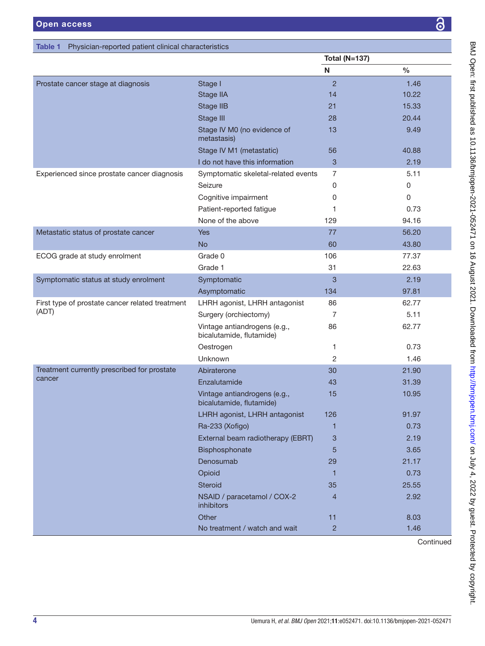| Table 1 | Physician-reported patient clinical characteristics |  |  |
|---------|-----------------------------------------------------|--|--|
|---------|-----------------------------------------------------|--|--|

<span id="page-3-0"></span>

|                                                 |                                                          | <b>Total (N=137)</b> |               |
|-------------------------------------------------|----------------------------------------------------------|----------------------|---------------|
|                                                 |                                                          | $\mathsf{N}$         | $\frac{0}{0}$ |
| Prostate cancer stage at diagnosis              | Stage I                                                  | $\overline{c}$       | 1.46          |
|                                                 | Stage IIA                                                | 14                   | 10.22         |
|                                                 | Stage IIB                                                | 21                   | 15.33         |
|                                                 | Stage III                                                | 28                   | 20.44         |
|                                                 | Stage IV M0 (no evidence of<br>metastasis)               | 13                   | 9.49          |
|                                                 | Stage IV M1 (metastatic)                                 | 56                   | 40.88         |
|                                                 | I do not have this information                           | 3                    | 2.19          |
| Experienced since prostate cancer diagnosis     | Symptomatic skeletal-related events                      | $\overline{7}$       | 5.11          |
|                                                 | Seizure                                                  | 0                    | 0             |
|                                                 | Cognitive impairment                                     | 0                    | 0             |
|                                                 | Patient-reported fatigue                                 | 1                    | 0.73          |
|                                                 | None of the above                                        | 129                  | 94.16         |
| Metastatic status of prostate cancer            | <b>Yes</b>                                               | 77                   | 56.20         |
|                                                 | <b>No</b>                                                | 60                   | 43.80         |
| ECOG grade at study enrolment                   | Grade 0                                                  | 106                  | 77.37         |
|                                                 | Grade 1                                                  | 31                   | 22.63         |
| Symptomatic status at study enrolment           | Symptomatic                                              | 3                    | 2.19          |
|                                                 | Asymptomatic                                             | 134                  | 97.81         |
| First type of prostate cancer related treatment | LHRH agonist, LHRH antagonist                            | 86                   | 62.77         |
| (ADT)                                           | Surgery (orchiectomy)                                    | 7                    | 5.11          |
|                                                 | Vintage antiandrogens (e.g.,<br>bicalutamide, flutamide) | 86                   | 62.77         |
|                                                 | Oestrogen                                                | 1                    | 0.73          |
|                                                 | Unknown                                                  | $\overline{2}$       | 1.46          |
| Treatment currently prescribed for prostate     | Abiraterone                                              | 30                   | 21.90         |
| cancer                                          | Enzalutamide                                             | 43                   | 31.39         |
|                                                 | Vintage antiandrogens (e.g.,<br>bicalutamide, flutamide) | 15                   | 10.95         |
|                                                 | LHRH agonist, LHRH antagonist                            | 126                  | 91.97         |
|                                                 | Ra-233 (Xofigo)                                          | 1                    | 0.73          |
|                                                 | External beam radiotherapy (EBRT)                        | 3                    | 2.19          |
|                                                 | Bisphosphonate                                           | 5                    | 3.65          |
|                                                 | Denosumab                                                | 29                   | 21.17         |
|                                                 | Opioid                                                   | 1                    | 0.73          |
|                                                 | <b>Steroid</b>                                           | 35                   | 25.55         |
|                                                 | NSAID / paracetamol / COX-2<br>inhibitors                | 4                    | 2.92          |
|                                                 | Other                                                    | 11                   | 8.03          |
|                                                 |                                                          |                      |               |

**Continued**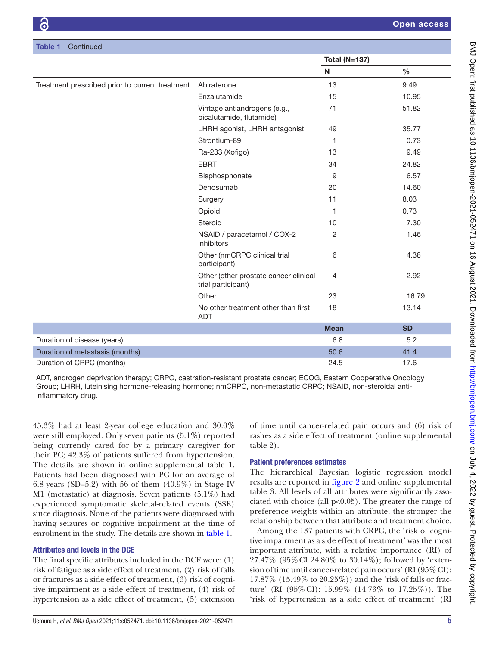|                                                 |                                                             | <b>Total (N=137)</b> |               |
|-------------------------------------------------|-------------------------------------------------------------|----------------------|---------------|
|                                                 |                                                             | N                    | $\frac{0}{0}$ |
| Treatment prescribed prior to current treatment | Abiraterone                                                 | 13                   | 9.49          |
|                                                 | Enzalutamide                                                | 15                   | 10.95         |
|                                                 | Vintage antiandrogens (e.g.,<br>bicalutamide, flutamide)    | 71                   | 51.82         |
|                                                 | LHRH agonist, LHRH antagonist                               | 49                   | 35.77         |
|                                                 | Strontium-89                                                | 1                    | 0.73          |
|                                                 | Ra-233 (Xofigo)                                             | 13                   | 9.49          |
|                                                 | <b>EBRT</b>                                                 | 34                   | 24.82         |
|                                                 | Bisphosphonate                                              | 9                    | 6.57          |
|                                                 | Denosumab                                                   | 20                   | 14.60         |
|                                                 | Surgery                                                     | 11                   | 8.03          |
|                                                 | Opioid                                                      | 1                    | 0.73          |
|                                                 | Steroid                                                     | 10                   | 7.30          |
|                                                 | NSAID / paracetamol / COX-2<br>inhibitors                   | $\overline{2}$       | 1.46          |
|                                                 | Other (nmCRPC clinical trial<br>participant)                | 6                    | 4.38          |
|                                                 | Other (other prostate cancer clinical<br>trial participant) | 4                    | 2.92          |
|                                                 | Other                                                       | 23                   | 16.79         |
|                                                 | No other treatment other than first<br><b>ADT</b>           | 18                   | 13.14         |
|                                                 |                                                             | <b>Mean</b>          | <b>SD</b>     |
| Duration of disease (years)                     |                                                             | 6.8                  | 5.2           |
| Duration of metastasis (months)                 |                                                             | 50.6                 | 41.4          |
| Duration of CRPC (months)                       |                                                             | 24.5                 | 17.6          |

ADT, androgen deprivation therapy; CRPC, castration-resistant prostate cancer; ECOG, Eastern Cooperative Oncology Group; LHRH, luteinising hormone-releasing hormone; nmCRPC, non-metastatic CRPC; NSAID, non-steroidal antiinflammatory drug.

45.3% had at least 2-year college education and 30.0% were still employed. Only seven patients (5.1%) reported being currently cared for by a primary caregiver for their PC; 42.3% of patients suffered from hypertension. The details are shown in [online supplemental table 1.](https://dx.doi.org/10.1136/bmjopen-2021-052471) Patients had been diagnosed with PC for an average of 6.8 years (SD=5.2) with 56 of them  $(40.9\%)$  in Stage IV M1 (metastatic) at diagnosis. Seven patients (5.1%) had experienced symptomatic skeletal-related events (SSE) since diagnosis. None of the patients were diagnosed with having seizures or cognitive impairment at the time of enrolment in the study. The details are shown in [table](#page-3-0) 1.

# Attributes and levels in the DCE

The final specific attributes included in the DCE were: (1) risk of fatigue as a side effect of treatment, (2) risk of falls or fractures as a side effect of treatment, (3) risk of cognitive impairment as a side effect of treatment, (4) risk of hypertension as a side effect of treatment, (5) extension

of time until cancer-related pain occurs and (6) risk of rashes as a side effect of treatment ([online supplemental](https://dx.doi.org/10.1136/bmjopen-2021-052471)  [table 2](https://dx.doi.org/10.1136/bmjopen-2021-052471)).

# Patient preferences estimates

The hierarchical Bayesian logistic regression model results are reported in [figure](#page-5-0) 2 and [online supplemental](https://dx.doi.org/10.1136/bmjopen-2021-052471)  [table 3.](https://dx.doi.org/10.1136/bmjopen-2021-052471) All levels of all attributes were significantly associated with choice (all  $p<0.05$ ). The greater the range of preference weights within an attribute, the stronger the relationship between that attribute and treatment choice.

Among the 137 patients with CRPC, the 'risk of cognitive impairment as a side effect of treatment' was the most important attribute, with a relative importance (RI) of 27.47% (95%CI 24.80% to 30.14%); followed by 'extension of time until cancer-related pain occurs' (RI (95% CI): 17.87% (15.49% to 20.25%)) and the 'risk of falls or fracture' (RI (95%CI): 15.99% (14.73% to 17.25%)). The 'risk of hypertension as a side effect of treatment' (RI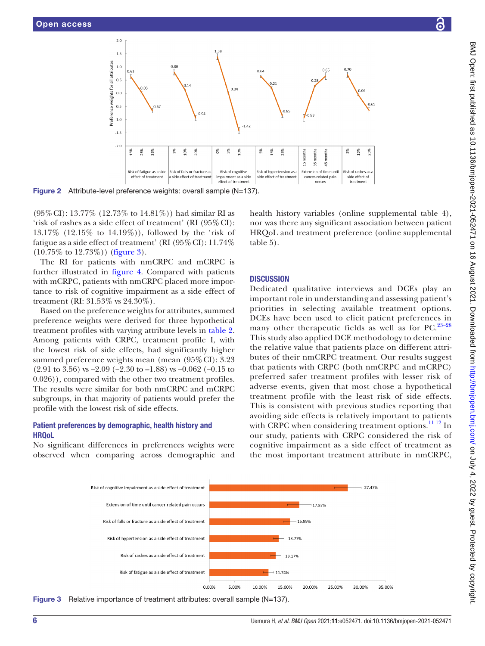

Figure 2 Attribute-level preference weights: overall sample (N=137).

(95%CI): 13.77% (12.73% to 14.81%)) had similar RI as 'risk of rashes as a side effect of treatment' (RI (95% CI): 13.17% (12.15% to 14.19%)), followed by the 'risk of fatigue as a side effect of treatment' (RI  $(95\% \text{ CI})$ : 11.74% (10.75% to 12.73%)) [\(figure](#page-5-1) 3).

The RI for patients with nmCRPC and mCRPC is further illustrated in [figure](#page-6-0) 4. Compared with patients with mCRPC, patients with nmCRPC placed more importance to risk of cognitive impairment as a side effect of treatment (RI: 31.53% vs 24.30%).

Based on the preference weights for attributes, summed preference weights were derived for three hypothetical treatment profiles with varying attribute levels in [table](#page-6-1) 2. Among patients with CRPC, treatment profile I, with the lowest risk of side effects, had significantly higher summed preference weights mean (mean  $(95\% \text{ CI})$ : 3.23 (2.91 to 3.56) vs −2.09 (−2.30 to –1.88) vs −0.062 (−0.15 to 0.026)), compared with the other two treatment profiles. The results were similar for both nmCRPC and mCRPC subgroups, in that majority of patients would prefer the profile with the lowest risk of side effects.

## Patient preferences by demographic, health history and HRQoL

No significant differences in preferences weights were observed when comparing across demographic and <span id="page-5-0"></span>health history variables [\(online supplemental table 4\)](https://dx.doi.org/10.1136/bmjopen-2021-052471), nor was there any significant association between patient HRQoL and treatment preference ([online supplemental](https://dx.doi.org/10.1136/bmjopen-2021-052471)  [table 5](https://dx.doi.org/10.1136/bmjopen-2021-052471)).

# **DISCUSSION**

Dedicated qualitative interviews and DCEs play an important role in understanding and assessing patient's priorities in selecting available treatment options. DCEs have been used to elicit patient preferences in many other therapeutic fields as well as for  $PC.<sup>23-28</sup>$ This study also applied DCE methodology to determine the relative value that patients place on different attributes of their nmCRPC treatment. Our results suggest that patients with CRPC (both nmCRPC and mCRPC) preferred safer treatment profiles with lesser risk of adverse events, given that most chose a hypothetical treatment profile with the least risk of side effects. This is consistent with previous studies reporting that avoiding side effects is relatively important to patients with CRPC when considering treatment options.<sup>[11 12](#page-8-7)</sup> In our study, patients with CRPC considered the risk of cognitive impairment as a side effect of treatment as the most important treatment attribute in nmCRPC,



<span id="page-5-1"></span>Figure 3 Relative importance of treatment attributes: overall sample (N=137).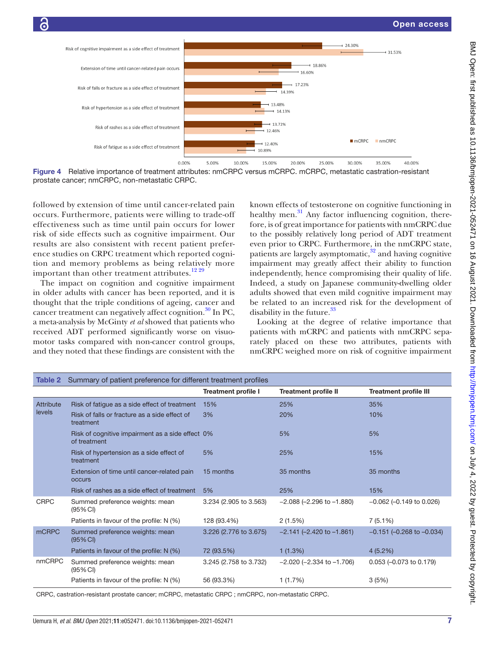

<span id="page-6-0"></span>Figure 4 Relative importance of treatment attributes: nmCRPC versus mCRPC. mCRPC, metastatic castration-resistant prostate cancer; nmCRPC, non-metastatic CRPC.

followed by extension of time until cancer-related pain occurs. Furthermore, patients were willing to trade-off effectiveness such as time until pain occurs for lower risk of side effects such as cognitive impairment. Our results are also consistent with recent patient preference studies on CRPC treatment which reported cognition and memory problems as being relatively more important than other treatment attributes.<sup>[12 29](#page-8-16)</sup>

The impact on cognition and cognitive impairment in older adults with cancer has been reported, and it is thought that the triple conditions of ageing, cancer and cancer treatment can negatively affect cognition.<sup>30</sup> In PC, a meta-analysis by McGinty *et al* showed that patients who received ADT performed significantly worse on visuomotor tasks compared with non-cancer control groups, and they noted that these findings are consistent with the

known effects of testosterone on cognitive functioning in healthy men. $31$  Any factor influencing cognition, therefore, is of great importance for patients with nmCRPC due to the possibly relatively long period of ADT treatment even prior to CRPC. Furthermore, in the nmCRPC state, patients are largely asymptomatic, $32$  and having cognitive impairment may greatly affect their ability to function independently, hence compromising their quality of life. Indeed, a study on Japanese community-dwelling older adults showed that even mild cognitive impairment may be related to an increased risk for the development of disability in the future.<sup>[33](#page-9-3)</sup>

Looking at the degree of relative importance that patients with mCRPC and patients with nmCRPC separately placed on these two attributes, patients with nmCRPC weighed more on risk of cognitive impairment

<span id="page-6-1"></span>

| Table 2             | Summary of patient preference for different treatment profiles   |                            |                                   |                                   |
|---------------------|------------------------------------------------------------------|----------------------------|-----------------------------------|-----------------------------------|
|                     |                                                                  | <b>Treatment profile I</b> | <b>Treatment profile II</b>       | <b>Treatment profile III</b>      |
| Attribute<br>levels | Risk of fatigue as a side effect of treatment                    | 15%                        | 25%                               | 35%                               |
|                     | Risk of falls or fracture as a side effect of<br>treatment       | 3%                         | 20%                               | 10%                               |
|                     | Risk of cognitive impairment as a side effect 0%<br>of treatment |                            | 5%                                | 5%                                |
|                     | Risk of hypertension as a side effect of<br>treatment            | 5%                         | 25%                               | 15%                               |
|                     | Extension of time until cancer-related pain<br><b>OCCUIS</b>     | 15 months                  | 35 months                         | 35 months                         |
|                     | Risk of rashes as a side effect of treatment                     | 5%                         | 25%                               | 15%                               |
| <b>CRPC</b>         | Summed preference weights: mean<br>(95% CI)                      | 3.234 (2.905 to 3.563)     | $-2.088$ ( $-2.296$ to $-1.880$ ) | $-0.062$ ( $-0.149$ to 0.026)     |
|                     | Patients in favour of the profile: N (%)                         | 128 (93.4%)                | 2(1.5%)                           | $7(5.1\%)$                        |
| <b>mCRPC</b>        | Summed preference weights: mean<br>(95% CI)                      | 3.226 (2.776 to 3.675)     | $-2.141$ $(-2.420$ to $-1.861)$   | $-0.151$ ( $-0.268$ to $-0.034$ ) |
|                     | Patients in favour of the profile: N (%)                         | 72 (93.5%)                 | $1(1.3\%)$                        | 4(5.2%)                           |
| nmCRPC              | Summed preference weights: mean<br>(95% CI)                      | 3.245 (2.758 to 3.732)     | $-2.020$ ( $-2.334$ to $-1.706$ ) | $0.053$ (-0.073 to 0.179)         |
|                     | Patients in favour of the profile: N (%)                         | 56 (93.3%)                 | 1(1.7%)                           | 3(5%)                             |
|                     |                                                                  |                            |                                   |                                   |

CRPC, castration-resistant prostate cancer; mCRPC, metastatic CRPC ; nmCRPC, non-metastatic CRPC.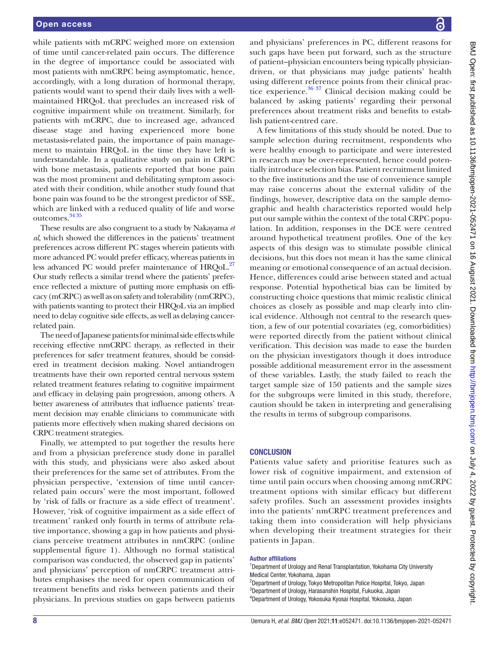while patients with mCRPC weighed more on extension of time until cancer-related pain occurs. The difference in the degree of importance could be associated with most patients with nmCRPC being asymptomatic, hence, accordingly, with a long duration of hormonal therapy, patients would want to spend their daily lives with a wellmaintained HRQoL that precludes an increased risk of cognitive impairment while on treatment. Similarly, for patients with mCRPC, due to increased age, advanced disease stage and having experienced more bone metastasis-related pain, the importance of pain management to maintain HRQoL in the time they have left is understandable. In a qualitative study on pain in CRPC with bone metastasis, patients reported that bone pain was the most prominent and debilitating symptom associated with their condition, while another study found that bone pain was found to be the strongest predictor of SSE, which are linked with a reduced quality of life and worse outcomes[.34 35](#page-9-4)

These results are also congruent to a study by Nakayama *et al,* which showed the differences in the patients' treatment preferences across different PC stages wherein patients with more advanced PC would prefer efficacy, whereas patients in less advanced PC would prefer maintenance of HRQoL.<sup>[27](#page-9-5)</sup> Our study reflects a similar trend where the patients' preference reflected a mixture of putting more emphasis on efficacy (mCRPC) as well as on safety and tolerability (nmCRPC), with patients wanting to protect their HRQoL via an implied need to delay cognitive side effects, as well as delaying cancerrelated pain.

The need of Japanese patients for minimal side effects while receiving effective nmCRPC therapy, as reflected in their preferences for safer treatment features, should be considered in treatment decision making. Novel antiandrogen treatments have their own reported central nervous system related treatment features relating to cognitive impairment and efficacy in delaying pain progression, among others. A better awareness of attributes that influence patients' treatment decision may enable clinicians to communicate with patients more effectively when making shared decisions on CRPC treatment strategies.

Finally, we attempted to put together the results here and from a physician preference study done in parallel with this study, and physicians were also asked about their preferences for the same set of attributes. From the physician perspective, 'extension of time until cancerrelated pain occurs' were the most important, followed by 'risk of falls or fracture as a side effect of treatment'. However, 'risk of cognitive impairment as a side effect of treatment' ranked only fourth in terms of attribute relative importance, showing a gap in how patients and physicians perceive treatment attributes in nmCRPC [\(online](https://dx.doi.org/10.1136/bmjopen-2021-052471) [supplemental figure 1\)](https://dx.doi.org/10.1136/bmjopen-2021-052471). Although no formal statistical comparison was conducted, the observed gap in patients' and physicians' perception of nmCRPC treatment attributes emphasises the need for open communication of treatment benefits and risks between patients and their physicians. In previous studies on gaps between patients

BMJ Open: first published as 10.1136/bmjopen-2021-052471 on 16 August 2021. Downloaded from http://bmjopen.bmj.com/ on July 4, 2022 by guest. Protected by copyright BMJ Open: first published as 10.1136/bmjopen-2021-052471 on 16 August 2021. Downloaded from <http://bmjopen.bmj.com/> on July 4, 2022 by guest. Protected by copyright

and physicians' preferences in PC, different reasons for such gaps have been put forward, such as the structure of patient–physician encounters being typically physiciandriven, or that physicians may judge patients' health using different reference points from their clinical practice experience.<sup>36 37</sup> Clinical decision making could be balanced by asking patients' regarding their personal preferences about treatment risks and benefits to establish patient-centred care.

A few limitations of this study should be noted. Due to sample selection during recruitment, respondents who were healthy enough to participate and were interested in research may be over-represented, hence could potentially introduce selection bias. Patient recruitment limited to the five institutions and the use of convenience sample may raise concerns about the external validity of the findings, however, descriptive data on the sample demographic and health characteristics reported would help put our sample within the context of the total CRPC population. In addition, responses in the DCE were centred around hypothetical treatment profiles. One of the key aspects of this design was to stimulate possible clinical decisions, but this does not mean it has the same clinical meaning or emotional consequence of an actual decision. Hence, differences could arise between stated and actual response. Potential hypothetical bias can be limited by constructing choice questions that mimic realistic clinical choices as closely as possible and map clearly into clinical evidence. Although not central to the research question, a few of our potential covariates (eg, comorbidities) were reported directly from the patient without clinical verification. This decision was made to ease the burden on the physician investigators though it does introduce possible additional measurement error in the assessment of these variables. Lastly, the study failed to reach the target sample size of 150 patients and the sample sizes for the subgroups were limited in this study, therefore, caution should be taken in interpreting and generalising the results in terms of subgroup comparisons.

## **CONCLUSION**

Patients value safety and prioritise features such as lower risk of cognitive impairment, and extension of time until pain occurs when choosing among nmCRPC treatment options with similar efficacy but different safety profiles. Such an assessment provides insights into the patients' nmCRPC treatment preferences and taking them into consideration will help physicians when developing their treatment strategies for their patients in Japan.

### Author affiliations

<sup>1</sup>Department of Urology and Renal Transplantation, Yokohama City University Medical Center, Yokohama, Japan

<sup>2</sup>Department of Urology, Tokyo Metropolitan Police Hospital, Tokyo, Japan 3 Department of Urology, Harasanshin Hospital, Fukuoka, Japan 4 Department of Urology, Yokosuka Kyosai Hospital, Yokosuka, Japan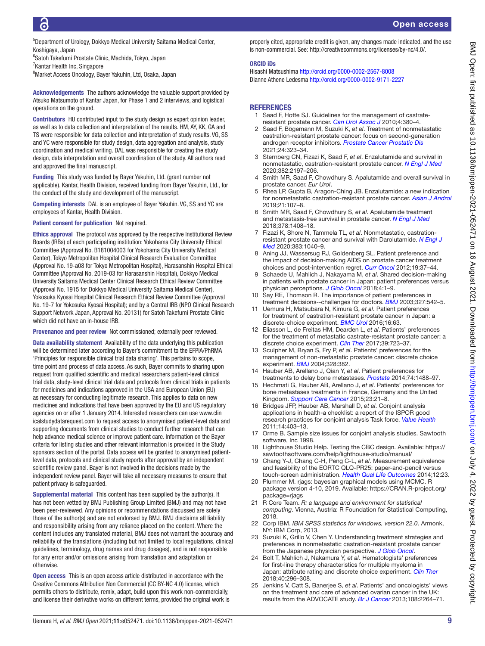5 Department of Urology, Dokkyo Medical University Saitama Medical Center, Koshigaya, Japan

6 Satoh Takefumi Prostate Clinic, Machida, Tokyo, Japan

<sup>7</sup> Kantar Health Inc, Singapore

8 Market Access Oncology, Bayer Yakuhin, Ltd, Osaka, Japan

Acknowledgements The authors acknowledge the valuable support provided by Atsuko Matsumoto of Kantar Japan, for Phase 1 and 2 interviews, and logistical operations on the ground.

Contributors HU contributed input to the study design as expert opinion leader, as well as to data collection and interpretation of the results. HM, AY, KK, GA and TS were responsible for data collection and interpretation of study results. VG, SS and YC were responsible for study design, data aggregation and analysis, study coordination and medical writing. DAL was responsible for creating the study design, data interpretation and overall coordination of the study. All authors read and approved the final manuscript.

Funding This study was funded by Bayer Yakuhin, Ltd. (grant number not applicable). Kantar, Health Division, received funding from Bayer Yakuhin, Ltd., for the conduct of the study and development of the manuscript.

Competing interests DAL is an employee of Bayer Yakuhin. VG, SS and YC are employees of Kantar, Health Division.

#### Patient consent for publication Not required.

Ethics approval The protocol was approved by the respective Institutional Review Boards (IRBs) of each participating institution: Yokohama City University Ethical Committee (Approval No. B181004003 for Yokohama City University Medical Center), Tokyo Metropolitan Hospital Clinical Research Evaluation Committee (Approval No. 19-a08 for Tokyo Metropolitan Hospital), Harasanshin Hospital Ethical Committee (Approval No. 2019-03 for Harasanshin Hospital), Dokkyo Medical University Saitama Medical Center Clinical Research Ethical Review Committee (Approval No. 1915 for Dokkyo Medical University Saitama Medical Center), Yokosuka Kyosai Hospital Clinical Research Ethical Review Committee (Approval No. 19-7 for Yokosuka Kyosai Hospital); and by a Central IRB (NPO Clinical Research Support Network Japan, Approval No. 20131) for Satoh Takefumi Prostate Clinic which did not have an in-house IRB.

Provenance and peer review Not commissioned; externally peer reviewed.

Data availability statement Availability of the data underlying this publication will be determined later according to Bayer's commitment to the EFPIA/PhRMA 'Principles for responsible clinical trial data sharing'. This pertains to scope, time point and process of data access. As such, Bayer commits to sharing upon request from qualified scientific and medical researchers patient-level clinical trial data, study-level clinical trial data and protocols from clinical trials in patients for medicines and indications approved in the USA and European Union (EU) as necessary for conducting legitimate research. This applies to data on new medicines and indications that have been approved by the EU and US regulatory agencies on or after 1 January 2014. Interested researchers can use [www.clin](www.clinicalstudydatarequest.com) [icalstudydatarequest.com](www.clinicalstudydatarequest.com) to request access to anonymised patient-level data and supporting documents from clinical studies to conduct further research that can help advance medical science or improve patient care. Information on the Bayer criteria for listing studies and other relevant information is provided in the Study sponsors section of the portal. Data access will be granted to anonymised patientlevel data, protocols and clinical study reports after approval by an independent scientific review panel. Bayer is not involved in the decisions made by the independent review panel. Bayer will take all necessary measures to ensure that patient privacy is safeguarded.

Supplemental material This content has been supplied by the author(s). It has not been vetted by BMJ Publishing Group Limited (BMJ) and may not have been peer-reviewed. Any opinions or recommendations discussed are solely those of the author(s) and are not endorsed by BMJ. BMJ disclaims all liability and responsibility arising from any reliance placed on the content. Where the content includes any translated material, BMJ does not warrant the accuracy and reliability of the translations (including but not limited to local regulations, clinical guidelines, terminology, drug names and drug dosages), and is not responsible for any error and/or omissions arising from translation and adaptation or otherwise.

Open access This is an open access article distributed in accordance with the Creative Commons Attribution Non Commercial (CC BY-NC 4.0) license, which permits others to distribute, remix, adapt, build upon this work non-commercially, and license their derivative works on different terms, provided the original work is properly cited, appropriate credit is given, any changes made indicated, and the use is non-commercial. See: [http://creativecommons.org/licenses/by-nc/4.0/.](http://creativecommons.org/licenses/by-nc/4.0/)

#### ORCID iDs

Hisashi Matsushima<http://orcid.org/0000-0002-2567-8008> Dianne Athene Ledesma<http://orcid.org/0000-0002-9171-2227>

# **REFERENCES**

- <span id="page-8-0"></span>1 Saad F, Hotte SJ. Guidelines for the management of castrateresistant prostate cancer. *[Can Urol Assoc J](http://dx.doi.org/10.5489/cuaj.10167)* 2010;4:380–4.
- <span id="page-8-1"></span>2 Saad F, Bögemann M, Suzuki K, *et al*. Treatment of nonmetastatic castration-resistant prostate cancer: focus on second-generation androgen receptor inhibitors. *[Prostate Cancer Prostatic Dis](http://dx.doi.org/10.1038/s41391-020-00310-3)* 2021;24:323–34.
- <span id="page-8-2"></span>3 Sternberg CN, Fizazi K, Saad F, *et al*. Enzalutamide and survival in nonmetastatic, castration-resistant prostate cancer. *[N Engl J Med](http://dx.doi.org/10.1056/NEJMoa2003892)* 2020;382:2197–206.
- 4 Smith MR, Saad F, Chowdhury S. Apalutamide and overall survival in prostate cancer. *Eur Urol*.
- 5 Rhea LP, Gupta B, Aragon-Ching JB. Enzalutamide: a new indication for nonmetastatic castration-resistant prostate cancer. *[Asian J Androl](http://dx.doi.org/10.4103/aja.aja_88_18)* 2019;21:107–8.
- 6 Smith MR, Saad F, Chowdhury S, *et al*. Apalutamide treatment and metastasis-free survival in prostate cancer. *[N Engl J Med](http://dx.doi.org/10.1056/NEJMoa1715546)* 2018;378:1408–18.
- <span id="page-8-3"></span>7 Fizazi K, Shore N, Tammela TL, *et al*. Nonmetastatic, castrationresistant prostate cancer and survival with Darolutamide. *[N Engl J](http://dx.doi.org/10.1056/NEJMoa2001342)  [Med](http://dx.doi.org/10.1056/NEJMoa2001342)* 2020;383:1040–9.
- <span id="page-8-4"></span>8 Aning JJ, Wassersug RJ, Goldenberg SL. Patient preference and the impact of decision-making AIDS on prostate cancer treatment choices and post-intervention regret. *[Curr Oncol](http://dx.doi.org/10.3747/co.19.1287)* 2012;19:37–44.
- <span id="page-8-5"></span>9 Schaede U, Mahlich J, Nakayama M, *et al*. Shared decision-making in patients with prostate cancer in Japan: patient preferences versus physician perceptions. *[J Glob Oncol](http://dx.doi.org/10.1200/JGO.2016.008045)* 2018;4:1–9.
- <span id="page-8-6"></span>10 Say RE, Thomson R. The importance of patient preferences in treatment decisions--challenges for doctors. *[BMJ](http://dx.doi.org/10.1136/bmj.327.7414.542)* 2003;327:542–5.
- <span id="page-8-7"></span>11 Uemura H, Matsubara N, Kimura G, *et al*. Patient preferences for treatment of castration-resistant prostate cancer in Japan: a discrete-choice experiment. *[BMC Urol](http://dx.doi.org/10.1186/s12894-016-0182-2)* 2016;16:63.
- <span id="page-8-16"></span>12 Eliasson L, de Freitas HM, Dearden L, *et al*. Patients' preferences for the treatment of metastatic castrate-resistant prostate cancer: a discrete choice experiment. *[Clin Ther](http://dx.doi.org/10.1016/j.clinthera.2017.02.009)* 2017;39:723–37.
- 13 Sculpher M, Bryan S, Fry P, *et al*. Patients' preferences for the management of non-metastatic prostate cancer: discrete choice experiment. *[BMJ](http://dx.doi.org/10.1136/bmj.37972.497234.44)* 2004;328:382.
- 14 Hauber AB, Arellano J, Qian Y, *et al*. Patient preferences for treatments to delay bone metastases. *[Prostate](http://dx.doi.org/10.1002/pros.22865)* 2014;74:1488–97.
- 15 Hechmati G, Hauber AB, Arellano J, *et al*. Patients' preferences for bone metastases treatments in France, Germany and the United Kingdom. *[Support Care Cancer](http://dx.doi.org/10.1007/s00520-014-2309-x)* 2015;23:21–8.
- <span id="page-8-8"></span>16 Bridges JFP, Hauber AB, Marshall D, *et al*. Conjoint analysis applications in health-a checklist: a report of the ISPOR good research practices for conjoint analysis Task force. *[Value Health](http://dx.doi.org/10.1016/j.jval.2010.11.013)* 2011;14:403–13.
- <span id="page-8-9"></span>17 Orme B. Sample size issues for conjoint analysis studies. Sawtooth software, Inc 1998.
- <span id="page-8-10"></span>18 Lighthouse Studio Help. Testing the CBC design. Available: [https://](https://sawtoothsoftware.com/help/lighthouse-studio/manual/) [sawtoothsoftware.com/help/lighthouse-studio/manual/](https://sawtoothsoftware.com/help/lighthouse-studio/manual/)
- <span id="page-8-11"></span>19 Chang Y-J, Chang C-H, Peng C-L, *et al*. Measurement equivalence and feasibility of the EORTC QLQ-PR25: paper-and-pencil versus touch-screen administration. *[Health Qual Life Outcomes](http://dx.doi.org/10.1186/1477-7525-12-23)* 2014;12:23.
- <span id="page-8-12"></span>20 Plummer M. rjags: bayesian graphical models using MCMC. R package version 4-10, 2019. Available: [https://CRAN.R-project.org/](https://CRAN.R-project.org/package=rjags) [package=rjags](https://CRAN.R-project.org/package=rjags)
- <span id="page-8-13"></span>21 R Core Team. *R: a language and environment for statistical computing*. Vienna, Austria: R Foundation for Statistical Computing, 2018.
- <span id="page-8-14"></span>22 Corp IBM. *IBM SPSS statistics for windows, version 22.0*. Armonk, NY: IBM Corp, 2013.
- <span id="page-8-15"></span>23 Suzuki K, Grillo V, Chen Y. Understanding treatment strategies and preferences in nonmetastatic castration-resistant prostate cancer from the Japanese physician perspective. *[J Glob Oncol](http://dx.doi.org/10.1200/GO.20.00358)*.
- 24 Bolt T, Mahlich J, Nakamura Y, *et al*. Hematologists' preferences for first-line therapy characteristics for multiple myeloma in Japan: attribute rating and discrete choice experiment. *[Clin Ther](http://dx.doi.org/10.1016/j.clinthera.2017.12.012)* 2018;40:296–308.
- 25 Jenkins V, Catt S, Banerjee S, *et al*. Patients' and oncologists' views on the treatment and care of advanced ovarian cancer in the UK: results from the ADVOCATE study. *[Br J Cancer](http://dx.doi.org/10.1038/bjc.2013.223)* 2013;108:2264–71.